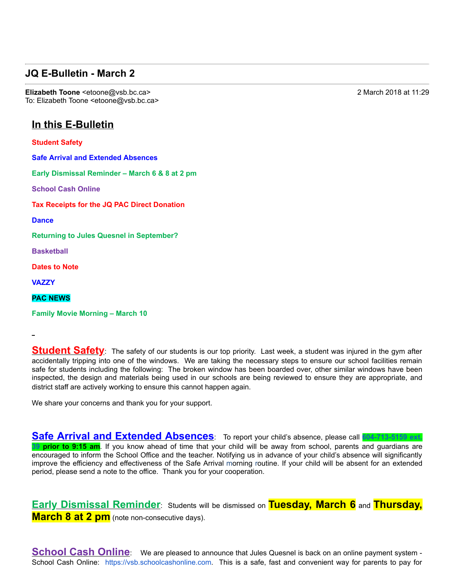## **JQ E-Bulletin - March 2**

**Elizabeth Toone** <etoone@vsb.bc.ca> 2 March 2018 at 11:29 To: Elizabeth Toone <etoone@vsb.bc.ca>

## **In this E-Bulletin**

**Student Safety**

**Safe Arrival and Extended Absences Early Dismissal Reminder – March 6 & 8 at 2 pm**

**School Cash Online**

**Tax Receipts for the JQ PAC Direct Donation**

**Dance**

**Returning to Jules Quesnel in September?**

**Basketball**

**Dates to Note**

**VAZZY**

**PAC NEWS**

**Family Movie Morning – March 10**

**Student Safety**: The safety of our students is our top priority. Last week, a student was injured in the gym after accidentally tripping into one of the windows. We are taking the necessary steps to ensure our school facilities remain safe for students including the following: The broken window has been boarded over, other similar windows have been inspected, the design and materials being used in our schools are being reviewed to ensure they are appropriate, and district staff are actively working to ensure this cannot happen again.

We share your concerns and thank you for your support.

**Safe Arrival and Extended Absences**: To report your child's absence, please call 604-713-5159 ext.



**39 prior to 9:15 am**. If you know ahead of time that your child will be away from school, parents and guardians are encouraged to inform the School Office and the teacher. Notifying us in advance of your child's absence will significantly improve the efficiency and effectiveness of the Safe Arrival morning routine. If your child will be absent for an extended period, please send a note to the office. Thank you for your cooperation.

**Early Dismissal Reminder**: Students will be dismissed on **Tuesday, March 6** and **Thursday, March 8 at 2 pm** (note non-consecutive days).

**School Cash Online**: We are pleased to announce that Jules Quesnel is back on an online payment system -School Cash Online: https://vsb.schoolcashonline.com. This is a safe, fast and convenient way for parents to pay for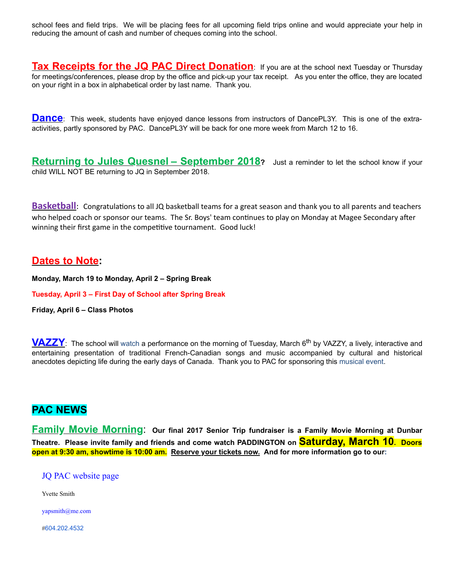school fees and field trips. We will be placing fees for all upcoming field trips online and would appreciate your help in reducing the amount of cash and number of cheques coming into the school.

**Tax Receipts for the JQ PAC Direct Donation**: If you are at the school next Tuesday or Thursday for meetings/conferences, please drop by the office and pick-up your tax receipt. As you enter the office, they are located on your right in a box in alphabetical order by last name. Thank you.

**Dance**: This week, students have enjoyed dance lessons from instructors of DancePL3Y. This is one of the extraactivities, partly sponsored by PAC. DancePL3Y will be back for one more week from March 12 to 16.

**Returning to Jules Quesnel – September 2018?** Just a reminder to let the school know if your child WILL NOT BE returning to JQ in September 2018.

**Basketball**: Congratulations to all JQ basketball teams for a great season and thank you to all parents and teachers who helped coach or sponsor our teams. The Sr. Boys' team continues to play on Monday at Magee Secondary after winning their first game in the competitive tournament. Good luck!

## **Dates to Note:**

**Monday, March 19 to Monday, April 2 – Spring Break**

**Tuesday, April 3 – First Day of School after Spring Break**

**Friday, April 6 – Class Photos**

**VAZZY**: The school will watch <sup>a</sup> performance on the morning of Tuesday, March 6th by VAZZY, a lively, interactive and entertaining presentation of traditional French-Canadian songs and music accompanied by cultural and historical anecdotes depicting life during the early days of Canada. Thank you to PAC for sponsoring this musical event.

## **PAC NEWS**

**Family Movie Morning**: **Our final <sup>2017</sup> Senior Trip fundraiser is <sup>a</sup> Family Movie Morning at Dunbar Theatre. Please invite family and friends and come watch PADDINGTON on Saturday, March 10. Doors open at 9:30 am, showtime is 10:00 am. Reserve your tickets now. And for more information go to our:** 

JQ PAC website page

Yvette Smith

yapsmith@me.com

#604.202.4532